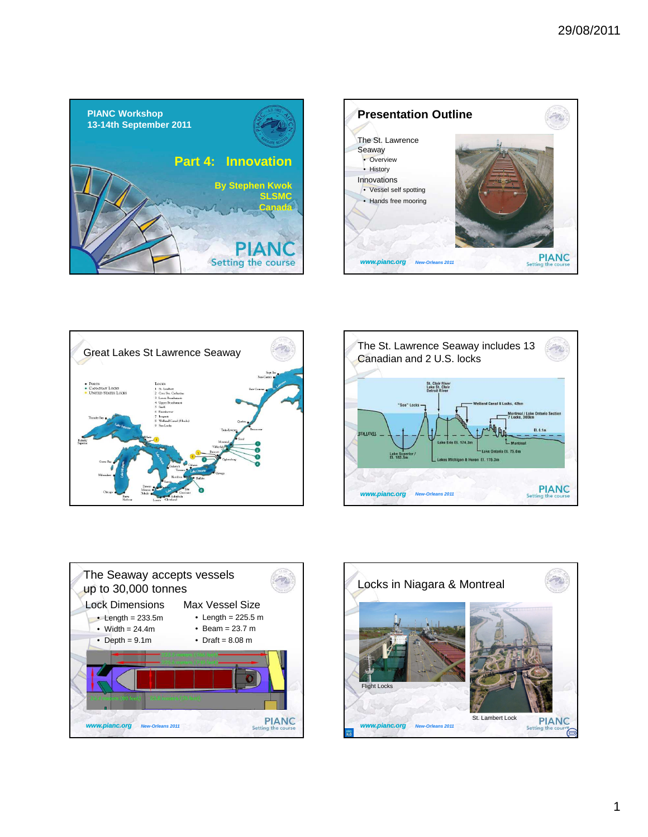









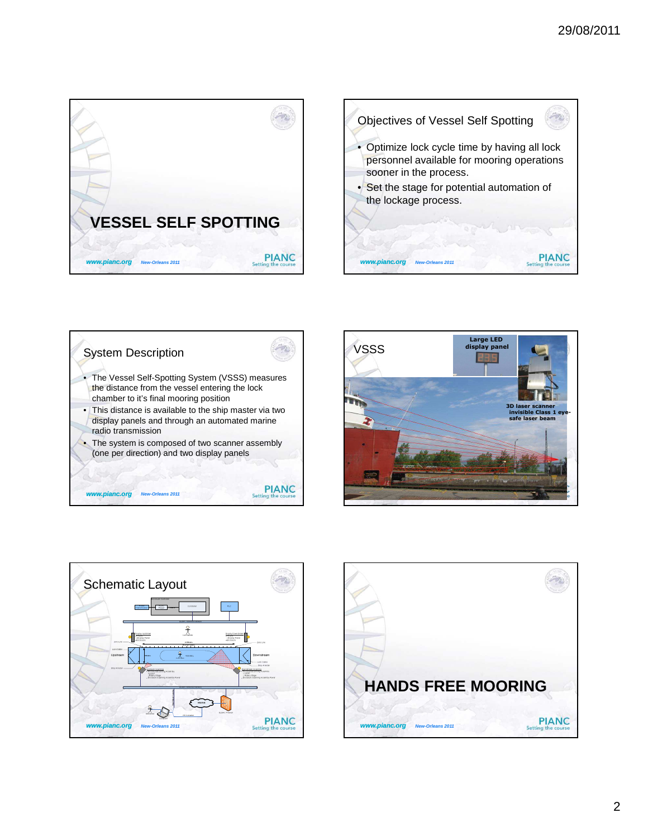







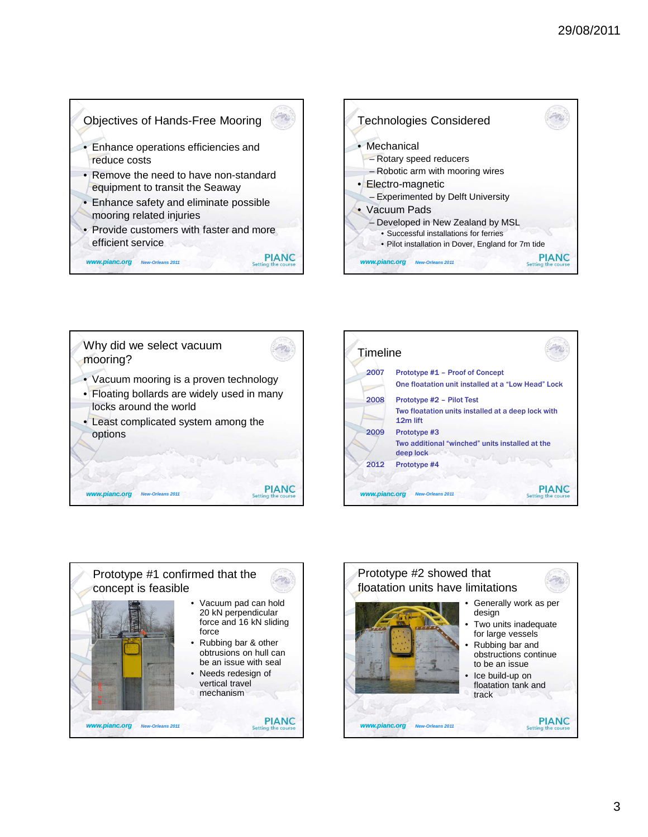**PIANC** 

Setti